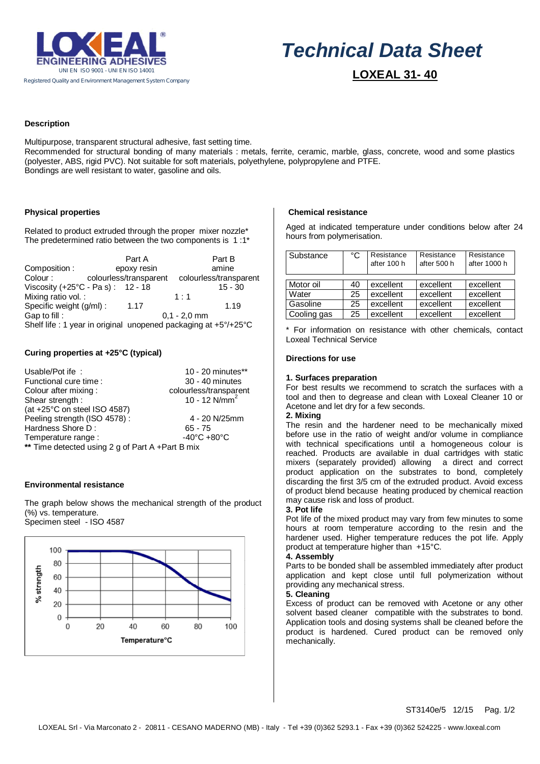

# *Technical Data Sheet*

 **LOXEAL 31- 40**

# **Description**

Multipurpose, transparent structural adhesive, fast setting time. Recommended for structural bonding of many materials : metals, ferrite, ceramic, marble, glass, concrete, wood and some plastics (polyester, ABS, rigid PVC). Not suitable for soft materials, polyethylene, polypropylene and PTFE. Bondings are well resistant to water, gasoline and oils.

# **Physical properties**

Related to product extruded through the proper mixer nozzle\* The predetermined ratio between the two components is 1 :1\*

|                                                                |                        | Part A |                | Part B                 |  |
|----------------------------------------------------------------|------------------------|--------|----------------|------------------------|--|
| Composition:                                                   | epoxy resin            |        |                | amine                  |  |
| Colour:                                                        | colourless/transparent |        |                | colourless/transparent |  |
| Viscosity $(+25^{\circ}C - Pa s)$ : 12 - 18                    |                        |        |                | $15 - 30$              |  |
| Mixing ratio vol.:                                             |                        |        | 1:1            |                        |  |
| Specific weight (g/ml):                                        |                        | 1.17   |                | 1.19                   |  |
| Gap to fill:                                                   |                        |        | $0.1 - 2.0$ mm |                        |  |
| Shelf life: 1 year in original unopened packaging at +5°/+25°C |                        |        |                |                        |  |

# **Curing properties at +25°C (typical)**

| Usable/Pot ife:                                  | 10 - 20 minutes**                                   |  |  |  |  |
|--------------------------------------------------|-----------------------------------------------------|--|--|--|--|
| Functional cure time:                            | 30 - 40 minutes                                     |  |  |  |  |
| Colour after mixing:                             |                                                     |  |  |  |  |
| Shear strength:                                  | colourless/transparent<br>10 - 12 N/mm <sup>2</sup> |  |  |  |  |
| (at +25°C on steel ISO 4587)                     |                                                     |  |  |  |  |
| Peeling strength (ISO 4578):                     | 4 - 20 N/25mm                                       |  |  |  |  |
| Hardness Shore D:                                | $65 - 75$                                           |  |  |  |  |
| Temperature range:                               | $-40^{\circ}$ C +80 $^{\circ}$ C                    |  |  |  |  |
| ** Time detected using 2 g of Part A +Part B mix |                                                     |  |  |  |  |

## **Environmental resistance**

The graph below shows the mechanical strength of the product (%) vs. temperature. Specimen steel - ISO 4587



## **Chemical resistance**

Aged at indicated temperature under conditions below after 24 hours from polymerisation.

| Substance   | °C | Resistance<br>after 100 h | Resistance<br>after 500 h | Resistance<br>after 1000 h |
|-------------|----|---------------------------|---------------------------|----------------------------|
|             |    |                           |                           |                            |
| Motor oil   | 40 | excellent                 | excellent                 | excellent                  |
| Water       | 25 | excellent                 | excellent                 | excellent                  |
| Gasoline    | 25 | excellent                 | excellent                 | excellent                  |
| Cooling gas | 25 | excellent                 | excellent                 | excellent                  |

\* For information on resistance with other chemicals, contact Loxeal Technical Service

#### **Directions for use**

#### **1. Surfaces preparation**

For best results we recommend to scratch the surfaces with a tool and then to degrease and clean with Loxeal Cleaner 10 or Acetone and let dry for a few seconds.

# **2. Mixing**

The resin and the hardener need to be mechanically mixed before use in the ratio of weight and/or volume in compliance with technical specifications until a homogeneous colour is reached. Products are available in dual cartridges with static mixers (separately provided) allowing a direct and correct product application on the substrates to bond, completely discarding the first 3/5 cm of the extruded product. Avoid excess of product blend because heating produced by chemical reaction may cause risk and loss of product.

## **3. Pot life**

Pot life of the mixed product may vary from few minutes to some hours at room temperature according to the resin and the hardener used. Higher temperature reduces the pot life. Apply product at temperature higher than +15°C.

#### **4. Assembly**

Parts to be bonded shall be assembled immediately after product application and kept close until full polymerization without providing any mechanical stress.

# **5. Cleaning**

Excess of product can be removed with Acetone or any other solvent based cleaner compatible with the substrates to bond. Application tools and dosing systems shall be cleaned before the product is hardened. Cured product can be removed only mechanically.

ST3140e/5 12/15 Pag. 1/2